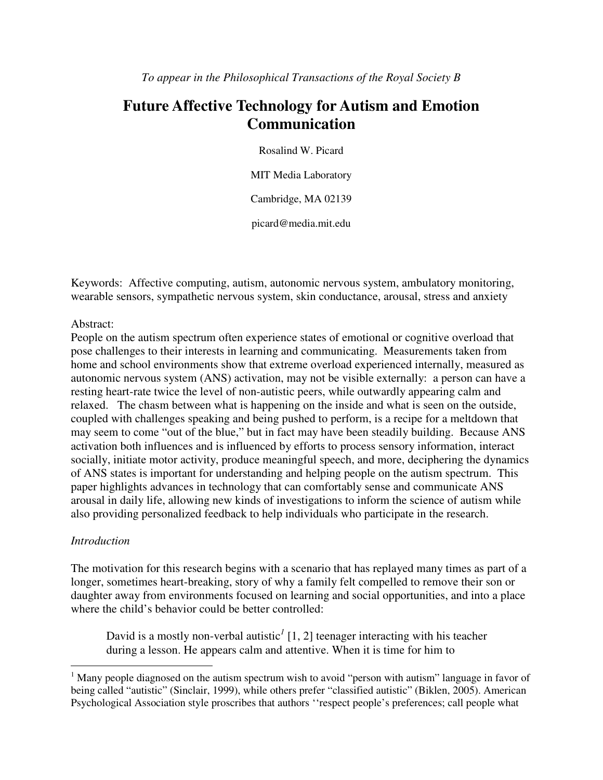# **Future Affective Technology for Autism and Emotion Communication**

Rosalind W. Picard

MIT Media Laboratory

Cambridge, MA 02139

picard@media.mit.edu

Keywords: Affective computing, autism, autonomic nervous system, ambulatory monitoring, wearable sensors, sympathetic nervous system, skin conductance, arousal, stress and anxiety

#### Abstract:

People on the autism spectrum often experience states of emotional or cognitive overload that pose challenges to their interests in learning and communicating. Measurements taken from home and school environments show that extreme overload experienced internally, measured as autonomic nervous system (ANS) activation, may not be visible externally: a person can have a resting heart-rate twice the level of non-autistic peers, while outwardly appearing calm and relaxed. The chasm between what is happening on the inside and what is seen on the outside, coupled with challenges speaking and being pushed to perform, is a recipe for a meltdown that may seem to come "out of the blue," but in fact may have been steadily building. Because ANS activation both influences and is influenced by efforts to process sensory information, interact socially, initiate motor activity, produce meaningful speech, and more, deciphering the dynamics of ANS states is important for understanding and helping people on the autism spectrum. This paper highlights advances in technology that can comfortably sense and communicate ANS arousal in daily life, allowing new kinds of investigations to inform the science of autism while also providing personalized feedback to help individuals who participate in the research.

#### *Introduction*

 $\overline{a}$ 

The motivation for this research begins with a scenario that has replayed many times as part of a longer, sometimes heart-breaking, story of why a family felt compelled to remove their son or daughter away from environments focused on learning and social opportunities, and into a place where the child's behavior could be better controlled:

David is a mostly non-verbal autistic<sup>1</sup> [1, 2] teenager interacting with his teacher during a lesson. He appears calm and attentive. When it is time for him to

<sup>&</sup>lt;sup>1</sup> Many people diagnosed on the autism spectrum wish to avoid "person with autism" language in favor of being called "autistic" (Sinclair, 1999), while others prefer "classified autistic" (Biklen, 2005). American Psychological Association style proscribes that authors ''respect people's preferences; call people what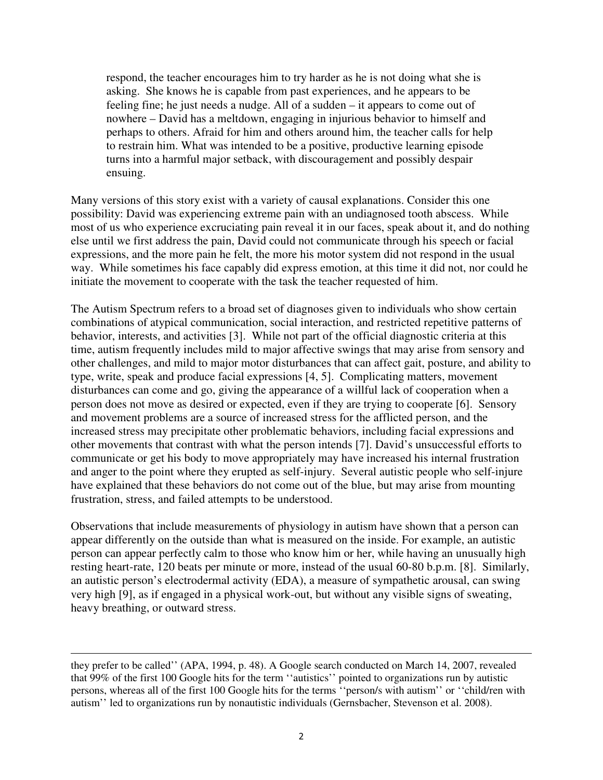respond, the teacher encourages him to try harder as he is not doing what she is asking. She knows he is capable from past experiences, and he appears to be feeling fine; he just needs a nudge. All of a sudden – it appears to come out of nowhere – David has a meltdown, engaging in injurious behavior to himself and perhaps to others. Afraid for him and others around him, the teacher calls for help to restrain him. What was intended to be a positive, productive learning episode turns into a harmful major setback, with discouragement and possibly despair ensuing.

Many versions of this story exist with a variety of causal explanations. Consider this one possibility: David was experiencing extreme pain with an undiagnosed tooth abscess. While most of us who experience excruciating pain reveal it in our faces, speak about it, and do nothing else until we first address the pain, David could not communicate through his speech or facial expressions, and the more pain he felt, the more his motor system did not respond in the usual way. While sometimes his face capably did express emotion, at this time it did not, nor could he initiate the movement to cooperate with the task the teacher requested of him.

The Autism Spectrum refers to a broad set of diagnoses given to individuals who show certain combinations of atypical communication, social interaction, and restricted repetitive patterns of behavior, interests, and activities [3]. While not part of the official diagnostic criteria at this time, autism frequently includes mild to major affective swings that may arise from sensory and other challenges, and mild to major motor disturbances that can affect gait, posture, and ability to type, write, speak and produce facial expressions [4, 5]. Complicating matters, movement disturbances can come and go, giving the appearance of a willful lack of cooperation when a person does not move as desired or expected, even if they are trying to cooperate [6]. Sensory and movement problems are a source of increased stress for the afflicted person, and the increased stress may precipitate other problematic behaviors, including facial expressions and other movements that contrast with what the person intends [7]. David's unsuccessful efforts to communicate or get his body to move appropriately may have increased his internal frustration and anger to the point where they erupted as self-injury. Several autistic people who self-injure have explained that these behaviors do not come out of the blue, but may arise from mounting frustration, stress, and failed attempts to be understood.

Observations that include measurements of physiology in autism have shown that a person can appear differently on the outside than what is measured on the inside. For example, an autistic person can appear perfectly calm to those who know him or her, while having an unusually high resting heart-rate, 120 beats per minute or more, instead of the usual 60-80 b.p.m. [8]. Similarly, an autistic person's electrodermal activity (EDA), a measure of sympathetic arousal, can swing very high [9], as if engaged in a physical work-out, but without any visible signs of sweating, heavy breathing, or outward stress.

 $\overline{a}$ 

they prefer to be called'' (APA, 1994, p. 48). A Google search conducted on March 14, 2007, revealed that 99% of the first 100 Google hits for the term ''autistics'' pointed to organizations run by autistic persons, whereas all of the first 100 Google hits for the terms ''person/s with autism'' or ''child/ren with autism'' led to organizations run by nonautistic individuals (Gernsbacher, Stevenson et al. 2008).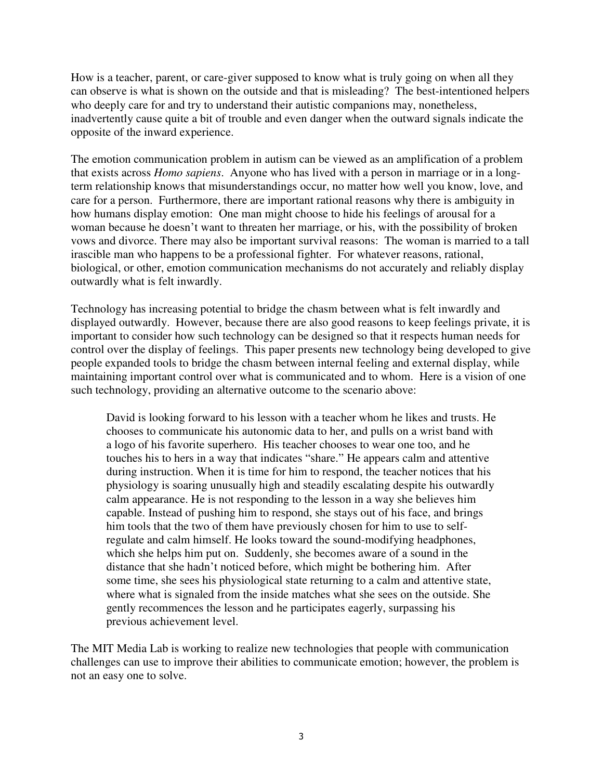How is a teacher, parent, or care-giver supposed to know what is truly going on when all they can observe is what is shown on the outside and that is misleading? The best-intentioned helpers who deeply care for and try to understand their autistic companions may, nonetheless, inadvertently cause quite a bit of trouble and even danger when the outward signals indicate the opposite of the inward experience.

The emotion communication problem in autism can be viewed as an amplification of a problem that exists across *Homo sapiens*. Anyone who has lived with a person in marriage or in a longterm relationship knows that misunderstandings occur, no matter how well you know, love, and care for a person. Furthermore, there are important rational reasons why there is ambiguity in how humans display emotion: One man might choose to hide his feelings of arousal for a woman because he doesn't want to threaten her marriage, or his, with the possibility of broken vows and divorce. There may also be important survival reasons: The woman is married to a tall irascible man who happens to be a professional fighter. For whatever reasons, rational, biological, or other, emotion communication mechanisms do not accurately and reliably display outwardly what is felt inwardly.

Technology has increasing potential to bridge the chasm between what is felt inwardly and displayed outwardly. However, because there are also good reasons to keep feelings private, it is important to consider how such technology can be designed so that it respects human needs for control over the display of feelings. This paper presents new technology being developed to give people expanded tools to bridge the chasm between internal feeling and external display, while maintaining important control over what is communicated and to whom. Here is a vision of one such technology, providing an alternative outcome to the scenario above:

David is looking forward to his lesson with a teacher whom he likes and trusts. He chooses to communicate his autonomic data to her, and pulls on a wrist band with a logo of his favorite superhero. His teacher chooses to wear one too, and he touches his to hers in a way that indicates "share." He appears calm and attentive during instruction. When it is time for him to respond, the teacher notices that his physiology is soaring unusually high and steadily escalating despite his outwardly calm appearance. He is not responding to the lesson in a way she believes him capable. Instead of pushing him to respond, she stays out of his face, and brings him tools that the two of them have previously chosen for him to use to selfregulate and calm himself. He looks toward the sound-modifying headphones, which she helps him put on. Suddenly, she becomes aware of a sound in the distance that she hadn't noticed before, which might be bothering him. After some time, she sees his physiological state returning to a calm and attentive state, where what is signaled from the inside matches what she sees on the outside. She gently recommences the lesson and he participates eagerly, surpassing his previous achievement level.

The MIT Media Lab is working to realize new technologies that people with communication challenges can use to improve their abilities to communicate emotion; however, the problem is not an easy one to solve.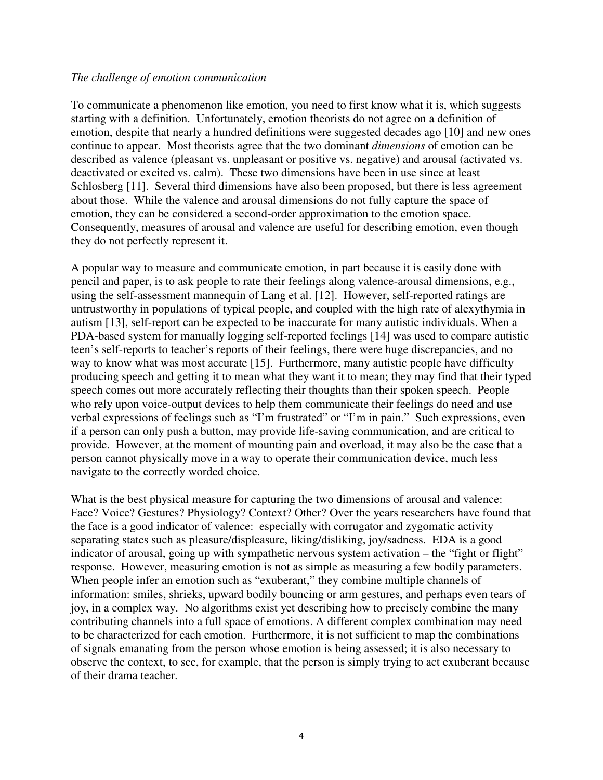#### *The challenge of emotion communication*

To communicate a phenomenon like emotion, you need to first know what it is, which suggests starting with a definition. Unfortunately, emotion theorists do not agree on a definition of emotion, despite that nearly a hundred definitions were suggested decades ago [10] and new ones continue to appear. Most theorists agree that the two dominant *dimensions* of emotion can be described as valence (pleasant vs. unpleasant or positive vs. negative) and arousal (activated vs. deactivated or excited vs. calm). These two dimensions have been in use since at least Schlosberg [11]. Several third dimensions have also been proposed, but there is less agreement about those. While the valence and arousal dimensions do not fully capture the space of emotion, they can be considered a second-order approximation to the emotion space. Consequently, measures of arousal and valence are useful for describing emotion, even though they do not perfectly represent it.

A popular way to measure and communicate emotion, in part because it is easily done with pencil and paper, is to ask people to rate their feelings along valence-arousal dimensions, e.g., using the self-assessment mannequin of Lang et al. [12]. However, self-reported ratings are untrustworthy in populations of typical people, and coupled with the high rate of alexythymia in autism [13], self-report can be expected to be inaccurate for many autistic individuals. When a PDA-based system for manually logging self-reported feelings [14] was used to compare autistic teen's self-reports to teacher's reports of their feelings, there were huge discrepancies, and no way to know what was most accurate [15]. Furthermore, many autistic people have difficulty producing speech and getting it to mean what they want it to mean; they may find that their typed speech comes out more accurately reflecting their thoughts than their spoken speech. People who rely upon voice-output devices to help them communicate their feelings do need and use verbal expressions of feelings such as "I'm frustrated" or "I'm in pain." Such expressions, even if a person can only push a button, may provide life-saving communication, and are critical to provide. However, at the moment of mounting pain and overload, it may also be the case that a person cannot physically move in a way to operate their communication device, much less navigate to the correctly worded choice.

What is the best physical measure for capturing the two dimensions of arousal and valence: Face? Voice? Gestures? Physiology? Context? Other? Over the years researchers have found that the face is a good indicator of valence: especially with corrugator and zygomatic activity separating states such as pleasure/displeasure, liking/disliking, joy/sadness. EDA is a good indicator of arousal, going up with sympathetic nervous system activation – the "fight or flight" response. However, measuring emotion is not as simple as measuring a few bodily parameters. When people infer an emotion such as "exuberant," they combine multiple channels of information: smiles, shrieks, upward bodily bouncing or arm gestures, and perhaps even tears of joy, in a complex way. No algorithms exist yet describing how to precisely combine the many contributing channels into a full space of emotions. A different complex combination may need to be characterized for each emotion. Furthermore, it is not sufficient to map the combinations of signals emanating from the person whose emotion is being assessed; it is also necessary to observe the context, to see, for example, that the person is simply trying to act exuberant because of their drama teacher.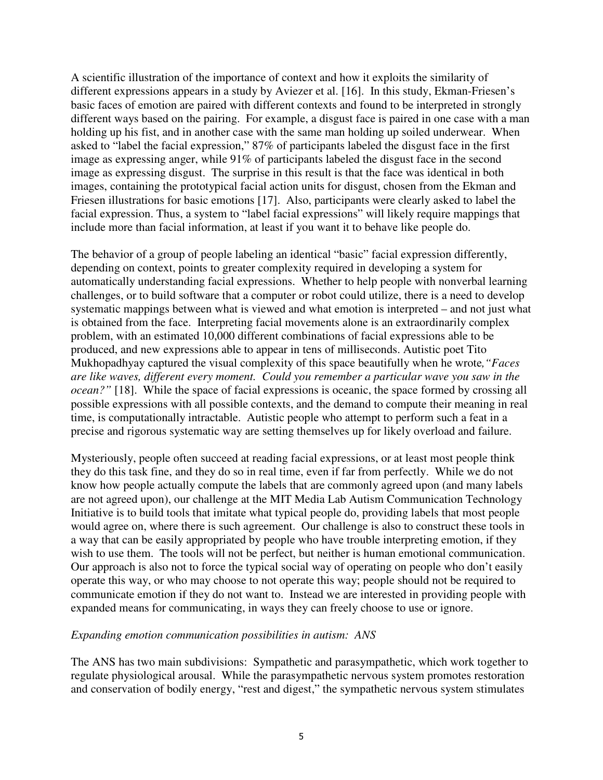A scientific illustration of the importance of context and how it exploits the similarity of different expressions appears in a study by Aviezer et al. [16]. In this study, Ekman-Friesen's basic faces of emotion are paired with different contexts and found to be interpreted in strongly different ways based on the pairing. For example, a disgust face is paired in one case with a man holding up his fist, and in another case with the same man holding up soiled underwear. When asked to "label the facial expression," 87% of participants labeled the disgust face in the first image as expressing anger, while 91% of participants labeled the disgust face in the second image as expressing disgust. The surprise in this result is that the face was identical in both images, containing the prototypical facial action units for disgust, chosen from the Ekman and Friesen illustrations for basic emotions [17]. Also, participants were clearly asked to label the facial expression. Thus, a system to "label facial expressions" will likely require mappings that include more than facial information, at least if you want it to behave like people do.

The behavior of a group of people labeling an identical "basic" facial expression differently, depending on context, points to greater complexity required in developing a system for automatically understanding facial expressions. Whether to help people with nonverbal learning challenges, or to build software that a computer or robot could utilize, there is a need to develop systematic mappings between what is viewed and what emotion is interpreted – and not just what is obtained from the face. Interpreting facial movements alone is an extraordinarily complex problem, with an estimated 10,000 different combinations of facial expressions able to be produced, and new expressions able to appear in tens of milliseconds. Autistic poet Tito Mukhopadhyay captured the visual complexity of this space beautifully when he wrote*,"Faces are like waves, different every moment. Could you remember a particular wave you saw in the ocean?"* [18].While the space of facial expressions is oceanic, the space formed by crossing all possible expressions with all possible contexts, and the demand to compute their meaning in real time, is computationally intractable. Autistic people who attempt to perform such a feat in a precise and rigorous systematic way are setting themselves up for likely overload and failure.

Mysteriously, people often succeed at reading facial expressions, or at least most people think they do this task fine, and they do so in real time, even if far from perfectly. While we do not know how people actually compute the labels that are commonly agreed upon (and many labels are not agreed upon), our challenge at the MIT Media Lab Autism Communication Technology Initiative is to build tools that imitate what typical people do, providing labels that most people would agree on, where there is such agreement. Our challenge is also to construct these tools in a way that can be easily appropriated by people who have trouble interpreting emotion, if they wish to use them. The tools will not be perfect, but neither is human emotional communication. Our approach is also not to force the typical social way of operating on people who don't easily operate this way, or who may choose to not operate this way; people should not be required to communicate emotion if they do not want to. Instead we are interested in providing people with expanded means for communicating, in ways they can freely choose to use or ignore.

### *Expanding emotion communication possibilities in autism: ANS*

The ANS has two main subdivisions: Sympathetic and parasympathetic, which work together to regulate physiological arousal. While the parasympathetic nervous system promotes restoration and conservation of bodily energy, "rest and digest," the sympathetic nervous system stimulates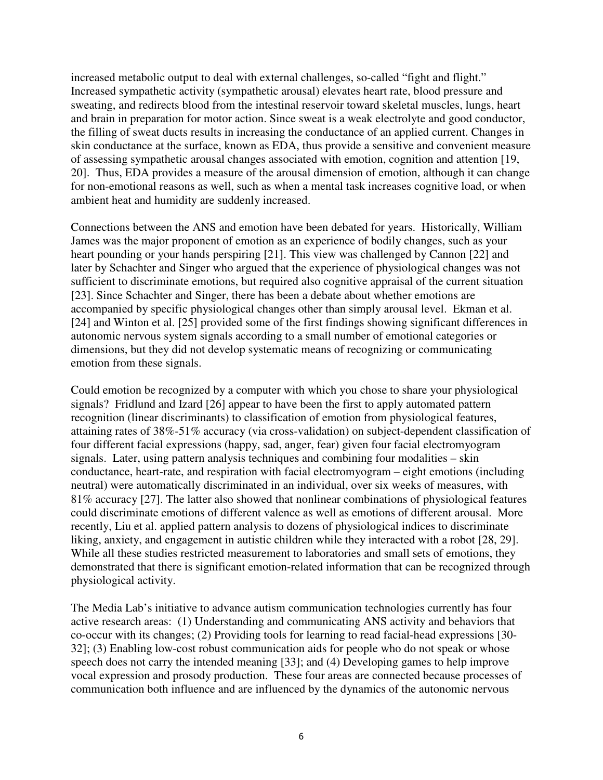increased metabolic output to deal with external challenges, so-called "fight and flight." Increased sympathetic activity (sympathetic arousal) elevates heart rate, blood pressure and sweating, and redirects blood from the intestinal reservoir toward skeletal muscles, lungs, heart and brain in preparation for motor action. Since sweat is a weak electrolyte and good conductor, the filling of sweat ducts results in increasing the conductance of an applied current. Changes in skin conductance at the surface, known as EDA, thus provide a sensitive and convenient measure of assessing sympathetic arousal changes associated with emotion, cognition and attention [19, 20]. Thus, EDA provides a measure of the arousal dimension of emotion, although it can change for non-emotional reasons as well, such as when a mental task increases cognitive load, or when ambient heat and humidity are suddenly increased.

Connections between the ANS and emotion have been debated for years. Historically, William James was the major proponent of emotion as an experience of bodily changes, such as your heart pounding or your hands perspiring [21]. This view was challenged by Cannon [22] and later by Schachter and Singer who argued that the experience of physiological changes was not sufficient to discriminate emotions, but required also cognitive appraisal of the current situation [23]. Since Schachter and Singer, there has been a debate about whether emotions are accompanied by specific physiological changes other than simply arousal level. Ekman et al. [24] and Winton et al. [25] provided some of the first findings showing significant differences in autonomic nervous system signals according to a small number of emotional categories or dimensions, but they did not develop systematic means of recognizing or communicating emotion from these signals.

Could emotion be recognized by a computer with which you chose to share your physiological signals? Fridlund and Izard [26] appear to have been the first to apply automated pattern recognition (linear discriminants) to classification of emotion from physiological features, attaining rates of 38%-51% accuracy (via cross-validation) on subject-dependent classification of four different facial expressions (happy, sad, anger, fear) given four facial electromyogram signals. Later, using pattern analysis techniques and combining four modalities – skin conductance, heart-rate, and respiration with facial electromyogram – eight emotions (including neutral) were automatically discriminated in an individual, over six weeks of measures, with 81% accuracy [27]. The latter also showed that nonlinear combinations of physiological features could discriminate emotions of different valence as well as emotions of different arousal. More recently, Liu et al. applied pattern analysis to dozens of physiological indices to discriminate liking, anxiety, and engagement in autistic children while they interacted with a robot [28, 29]. While all these studies restricted measurement to laboratories and small sets of emotions, they demonstrated that there is significant emotion-related information that can be recognized through physiological activity.

The Media Lab's initiative to advance autism communication technologies currently has four active research areas: (1) Understanding and communicating ANS activity and behaviors that co-occur with its changes; (2) Providing tools for learning to read facial-head expressions [30- 32]; (3) Enabling low-cost robust communication aids for people who do not speak or whose speech does not carry the intended meaning [33]; and (4) Developing games to help improve vocal expression and prosody production. These four areas are connected because processes of communication both influence and are influenced by the dynamics of the autonomic nervous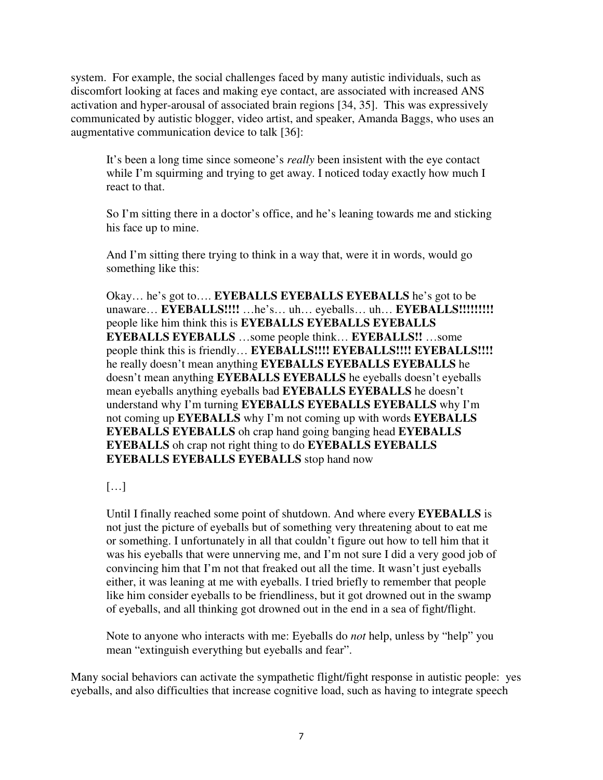system. For example, the social challenges faced by many autistic individuals, such as discomfort looking at faces and making eye contact, are associated with increased ANS activation and hyper-arousal of associated brain regions [34, 35]. This was expressively communicated by autistic blogger, video artist, and speaker, Amanda Baggs, who uses an augmentative communication device to talk [36]:

It's been a long time since someone's *really* been insistent with the eye contact while I'm squirming and trying to get away. I noticed today exactly how much I react to that.

So I'm sitting there in a doctor's office, and he's leaning towards me and sticking his face up to mine.

And I'm sitting there trying to think in a way that, were it in words, would go something like this:

Okay… he's got to…. **EYEBALLS EYEBALLS EYEBALLS** he's got to be unaware… **EYEBALLS!!!!** …he's… uh… eyeballs… uh… **EYEBALLS!!!!!!!!!**  people like him think this is **EYEBALLS EYEBALLS EYEBALLS EYEBALLS EYEBALLS** …some people think… **EYEBALLS!!** …some people think this is friendly… **EYEBALLS!!!! EYEBALLS!!!! EYEBALLS!!!!**  he really doesn't mean anything **EYEBALLS EYEBALLS EYEBALLS** he doesn't mean anything **EYEBALLS EYEBALLS** he eyeballs doesn't eyeballs mean eyeballs anything eyeballs bad **EYEBALLS EYEBALLS** he doesn't understand why I'm turning **EYEBALLS EYEBALLS EYEBALLS** why I'm not coming up **EYEBALLS** why I'm not coming up with words **EYEBALLS EYEBALLS EYEBALLS** oh crap hand going banging head **EYEBALLS EYEBALLS** oh crap not right thing to do **EYEBALLS EYEBALLS EYEBALLS EYEBALLS EYEBALLS** stop hand now

[…]

Until I finally reached some point of shutdown. And where every **EYEBALLS** is not just the picture of eyeballs but of something very threatening about to eat me or something. I unfortunately in all that couldn't figure out how to tell him that it was his eyeballs that were unnerving me, and I'm not sure I did a very good job of convincing him that I'm not that freaked out all the time. It wasn't just eyeballs either, it was leaning at me with eyeballs. I tried briefly to remember that people like him consider eyeballs to be friendliness, but it got drowned out in the swamp of eyeballs, and all thinking got drowned out in the end in a sea of fight/flight.

Note to anyone who interacts with me: Eyeballs do *not* help, unless by "help" you mean "extinguish everything but eyeballs and fear".

Many social behaviors can activate the sympathetic flight/fight response in autistic people: yes eyeballs, and also difficulties that increase cognitive load, such as having to integrate speech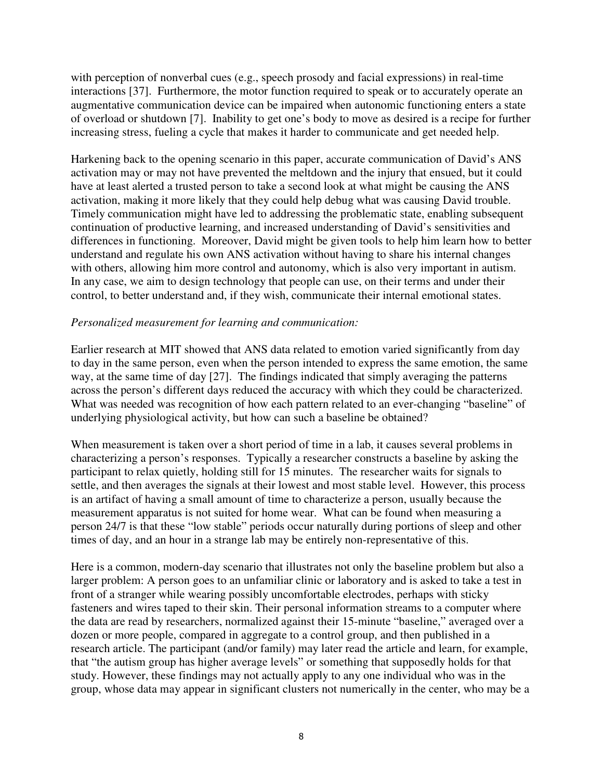with perception of nonverbal cues (e.g., speech prosody and facial expressions) in real-time interactions [37]. Furthermore, the motor function required to speak or to accurately operate an augmentative communication device can be impaired when autonomic functioning enters a state of overload or shutdown [7]. Inability to get one's body to move as desired is a recipe for further increasing stress, fueling a cycle that makes it harder to communicate and get needed help.

Harkening back to the opening scenario in this paper, accurate communication of David's ANS activation may or may not have prevented the meltdown and the injury that ensued, but it could have at least alerted a trusted person to take a second look at what might be causing the ANS activation, making it more likely that they could help debug what was causing David trouble. Timely communication might have led to addressing the problematic state, enabling subsequent continuation of productive learning, and increased understanding of David's sensitivities and differences in functioning. Moreover, David might be given tools to help him learn how to better understand and regulate his own ANS activation without having to share his internal changes with others, allowing him more control and autonomy, which is also very important in autism. In any case, we aim to design technology that people can use, on their terms and under their control, to better understand and, if they wish, communicate their internal emotional states.

## *Personalized measurement for learning and communication:*

Earlier research at MIT showed that ANS data related to emotion varied significantly from day to day in the same person, even when the person intended to express the same emotion, the same way, at the same time of day [27]. The findings indicated that simply averaging the patterns across the person's different days reduced the accuracy with which they could be characterized. What was needed was recognition of how each pattern related to an ever-changing "baseline" of underlying physiological activity, but how can such a baseline be obtained?

When measurement is taken over a short period of time in a lab, it causes several problems in characterizing a person's responses. Typically a researcher constructs a baseline by asking the participant to relax quietly, holding still for 15 minutes. The researcher waits for signals to settle, and then averages the signals at their lowest and most stable level. However, this process is an artifact of having a small amount of time to characterize a person, usually because the measurement apparatus is not suited for home wear. What can be found when measuring a person 24/7 is that these "low stable" periods occur naturally during portions of sleep and other times of day, and an hour in a strange lab may be entirely non-representative of this.

Here is a common, modern-day scenario that illustrates not only the baseline problem but also a larger problem: A person goes to an unfamiliar clinic or laboratory and is asked to take a test in front of a stranger while wearing possibly uncomfortable electrodes, perhaps with sticky fasteners and wires taped to their skin. Their personal information streams to a computer where the data are read by researchers, normalized against their 15-minute "baseline," averaged over a dozen or more people, compared in aggregate to a control group, and then published in a research article. The participant (and/or family) may later read the article and learn, for example, that "the autism group has higher average levels" or something that supposedly holds for that study. However, these findings may not actually apply to any one individual who was in the group, whose data may appear in significant clusters not numerically in the center, who may be a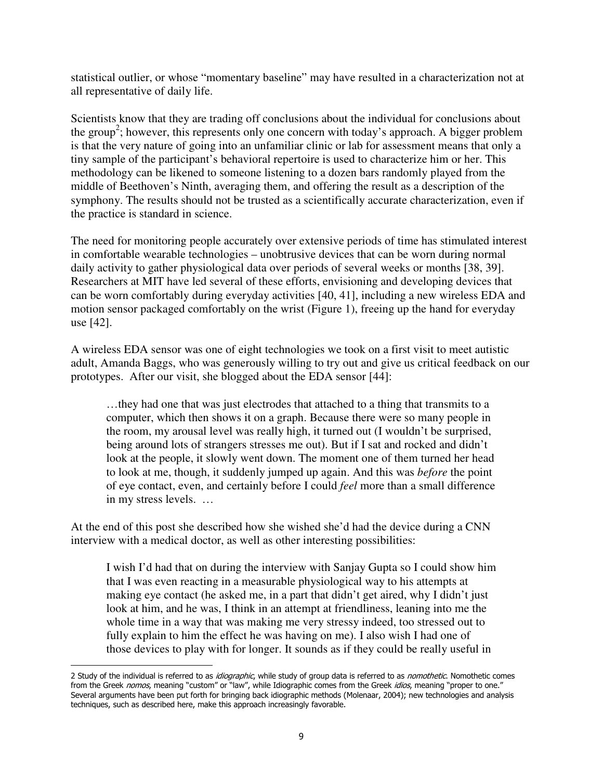statistical outlier, or whose "momentary baseline" may have resulted in a characterization not at all representative of daily life.

Scientists know that they are trading off conclusions about the individual for conclusions about the group<sup>2</sup>; however, this represents only one concern with today's approach. A bigger problem is that the very nature of going into an unfamiliar clinic or lab for assessment means that only a tiny sample of the participant's behavioral repertoire is used to characterize him or her. This methodology can be likened to someone listening to a dozen bars randomly played from the middle of Beethoven's Ninth, averaging them, and offering the result as a description of the symphony. The results should not be trusted as a scientifically accurate characterization, even if the practice is standard in science.

The need for monitoring people accurately over extensive periods of time has stimulated interest in comfortable wearable technologies – unobtrusive devices that can be worn during normal daily activity to gather physiological data over periods of several weeks or months [38, 39]. Researchers at MIT have led several of these efforts, envisioning and developing devices that can be worn comfortably during everyday activities [40, 41], including a new wireless EDA and motion sensor packaged comfortably on the wrist (Figure 1), freeing up the hand for everyday use [42].

A wireless EDA sensor was one of eight technologies we took on a first visit to meet autistic adult, Amanda Baggs, who was generously willing to try out and give us critical feedback on our prototypes. After our visit, she blogged about the EDA sensor [44]:

…they had one that was just electrodes that attached to a thing that transmits to a computer, which then shows it on a graph. Because there were so many people in the room, my arousal level was really high, it turned out (I wouldn't be surprised, being around lots of strangers stresses me out). But if I sat and rocked and didn't look at the people, it slowly went down. The moment one of them turned her head to look at me, though, it suddenly jumped up again. And this was *before* the point of eye contact, even, and certainly before I could *feel* more than a small difference in my stress levels. …

At the end of this post she described how she wished she'd had the device during a CNN interview with a medical doctor, as well as other interesting possibilities:

I wish I'd had that on during the interview with Sanjay Gupta so I could show him that I was even reacting in a measurable physiological way to his attempts at making eye contact (he asked me, in a part that didn't get aired, why I didn't just look at him, and he was, I think in an attempt at friendliness, leaning into me the whole time in a way that was making me very stressy indeed, too stressed out to fully explain to him the effect he was having on me). I also wish I had one of those devices to play with for longer. It sounds as if they could be really useful in

 $\overline{a}$ 

<sup>2</sup> Study of the individual is referred to as *idiographic*, while study of group data is referred to as *nomothetic*. Nomothetic comes from the Greek nomos, meaning "custom" or "law", while Idiographic comes from the Greek idios, meaning "proper to one." Several arguments have been put forth for bringing back idiographic methods (Molenaar, 2004); new technologies and analysis techniques, such as described here, make this approach increasingly favorable.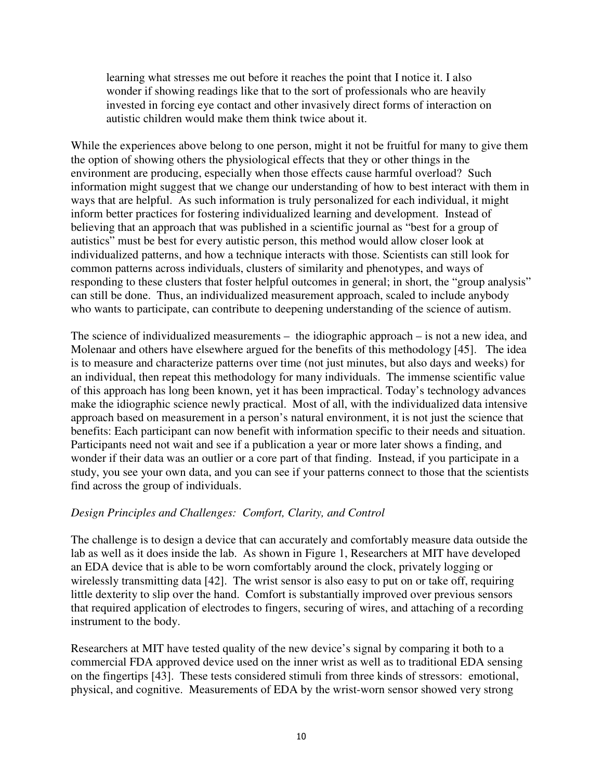learning what stresses me out before it reaches the point that I notice it. I also wonder if showing readings like that to the sort of professionals who are heavily invested in forcing eye contact and other invasively direct forms of interaction on autistic children would make them think twice about it.

While the experiences above belong to one person, might it not be fruitful for many to give them the option of showing others the physiological effects that they or other things in the environment are producing, especially when those effects cause harmful overload? Such information might suggest that we change our understanding of how to best interact with them in ways that are helpful. As such information is truly personalized for each individual, it might inform better practices for fostering individualized learning and development. Instead of believing that an approach that was published in a scientific journal as "best for a group of autistics" must be best for every autistic person, this method would allow closer look at individualized patterns, and how a technique interacts with those. Scientists can still look for common patterns across individuals, clusters of similarity and phenotypes, and ways of responding to these clusters that foster helpful outcomes in general; in short, the "group analysis" can still be done. Thus, an individualized measurement approach, scaled to include anybody who wants to participate, can contribute to deepening understanding of the science of autism.

The science of individualized measurements – the idiographic approach – is not a new idea, and Molenaar and others have elsewhere argued for the benefits of this methodology [45]. The idea is to measure and characterize patterns over time (not just minutes, but also days and weeks) for an individual, then repeat this methodology for many individuals. The immense scientific value of this approach has long been known, yet it has been impractical. Today's technology advances make the idiographic science newly practical. Most of all, with the individualized data intensive approach based on measurement in a person's natural environment, it is not just the science that benefits: Each participant can now benefit with information specific to their needs and situation. Participants need not wait and see if a publication a year or more later shows a finding, and wonder if their data was an outlier or a core part of that finding. Instead, if you participate in a study, you see your own data, and you can see if your patterns connect to those that the scientists find across the group of individuals.

# *Design Principles and Challenges: Comfort, Clarity, and Control*

The challenge is to design a device that can accurately and comfortably measure data outside the lab as well as it does inside the lab. As shown in Figure 1, Researchers at MIT have developed an EDA device that is able to be worn comfortably around the clock, privately logging or wirelessly transmitting data [42]. The wrist sensor is also easy to put on or take off, requiring little dexterity to slip over the hand. Comfort is substantially improved over previous sensors that required application of electrodes to fingers, securing of wires, and attaching of a recording instrument to the body.

Researchers at MIT have tested quality of the new device's signal by comparing it both to a commercial FDA approved device used on the inner wrist as well as to traditional EDA sensing on the fingertips [43]. These tests considered stimuli from three kinds of stressors: emotional, physical, and cognitive. Measurements of EDA by the wrist-worn sensor showed very strong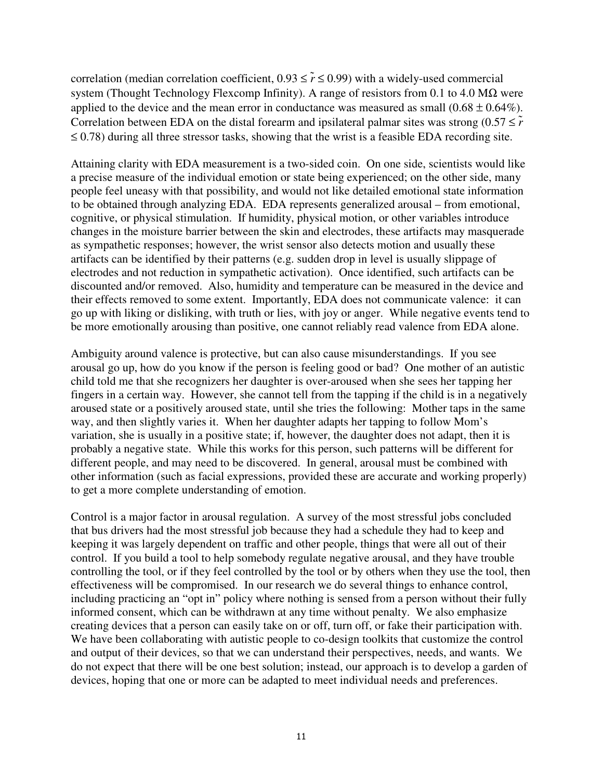correlation (median correlation coefficient,  $0.93 \le \tilde{r} \le 0.99$ ) with a widely-used commercial system (Thought Technology Flexcomp Infinity). A range of resistors from 0.1 to 4.0 M $\Omega$  were applied to the device and the mean error in conductance was measured as small  $(0.68 \pm 0.64\%)$ . Correlation between EDA on the distal forearm and ipsilateral palmar sites was strong  $(0.57 \leq \tilde{r})$  $\leq$  0.78) during all three stressor tasks, showing that the wrist is a feasible EDA recording site.

Attaining clarity with EDA measurement is a two-sided coin. On one side, scientists would like a precise measure of the individual emotion or state being experienced; on the other side, many people feel uneasy with that possibility, and would not like detailed emotional state information to be obtained through analyzing EDA. EDA represents generalized arousal – from emotional, cognitive, or physical stimulation. If humidity, physical motion, or other variables introduce changes in the moisture barrier between the skin and electrodes, these artifacts may masquerade as sympathetic responses; however, the wrist sensor also detects motion and usually these artifacts can be identified by their patterns (e.g. sudden drop in level is usually slippage of electrodes and not reduction in sympathetic activation). Once identified, such artifacts can be discounted and/or removed. Also, humidity and temperature can be measured in the device and their effects removed to some extent. Importantly, EDA does not communicate valence: it can go up with liking or disliking, with truth or lies, with joy or anger. While negative events tend to be more emotionally arousing than positive, one cannot reliably read valence from EDA alone.

Ambiguity around valence is protective, but can also cause misunderstandings. If you see arousal go up, how do you know if the person is feeling good or bad? One mother of an autistic child told me that she recognizers her daughter is over-aroused when she sees her tapping her fingers in a certain way. However, she cannot tell from the tapping if the child is in a negatively aroused state or a positively aroused state, until she tries the following: Mother taps in the same way, and then slightly varies it. When her daughter adapts her tapping to follow Mom's variation, she is usually in a positive state; if, however, the daughter does not adapt, then it is probably a negative state. While this works for this person, such patterns will be different for different people, and may need to be discovered. In general, arousal must be combined with other information (such as facial expressions, provided these are accurate and working properly) to get a more complete understanding of emotion.

Control is a major factor in arousal regulation. A survey of the most stressful jobs concluded that bus drivers had the most stressful job because they had a schedule they had to keep and keeping it was largely dependent on traffic and other people, things that were all out of their control. If you build a tool to help somebody regulate negative arousal, and they have trouble controlling the tool, or if they feel controlled by the tool or by others when they use the tool, then effectiveness will be compromised. In our research we do several things to enhance control, including practicing an "opt in" policy where nothing is sensed from a person without their fully informed consent, which can be withdrawn at any time without penalty. We also emphasize creating devices that a person can easily take on or off, turn off, or fake their participation with. We have been collaborating with autistic people to co-design toolkits that customize the control and output of their devices, so that we can understand their perspectives, needs, and wants. We do not expect that there will be one best solution; instead, our approach is to develop a garden of devices, hoping that one or more can be adapted to meet individual needs and preferences.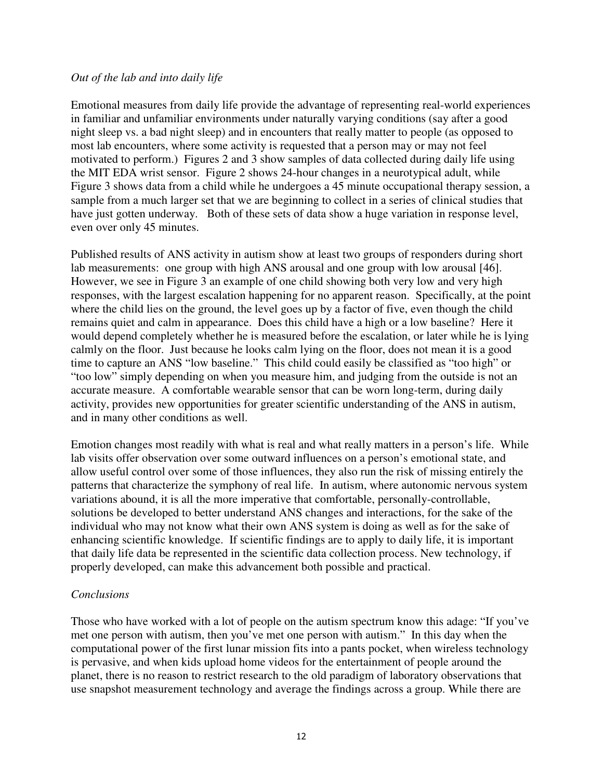### *Out of the lab and into daily life*

Emotional measures from daily life provide the advantage of representing real-world experiences in familiar and unfamiliar environments under naturally varying conditions (say after a good night sleep vs. a bad night sleep) and in encounters that really matter to people (as opposed to most lab encounters, where some activity is requested that a person may or may not feel motivated to perform.) Figures 2 and 3 show samples of data collected during daily life using the MIT EDA wrist sensor. Figure 2 shows 24-hour changes in a neurotypical adult, while Figure 3 shows data from a child while he undergoes a 45 minute occupational therapy session, a sample from a much larger set that we are beginning to collect in a series of clinical studies that have just gotten underway. Both of these sets of data show a huge variation in response level, even over only 45 minutes.

Published results of ANS activity in autism show at least two groups of responders during short lab measurements: one group with high ANS arousal and one group with low arousal [46]. However, we see in Figure 3 an example of one child showing both very low and very high responses, with the largest escalation happening for no apparent reason. Specifically, at the point where the child lies on the ground, the level goes up by a factor of five, even though the child remains quiet and calm in appearance. Does this child have a high or a low baseline? Here it would depend completely whether he is measured before the escalation, or later while he is lying calmly on the floor. Just because he looks calm lying on the floor, does not mean it is a good time to capture an ANS "low baseline." This child could easily be classified as "too high" or "too low" simply depending on when you measure him, and judging from the outside is not an accurate measure. A comfortable wearable sensor that can be worn long-term, during daily activity, provides new opportunities for greater scientific understanding of the ANS in autism, and in many other conditions as well.

Emotion changes most readily with what is real and what really matters in a person's life. While lab visits offer observation over some outward influences on a person's emotional state, and allow useful control over some of those influences, they also run the risk of missing entirely the patterns that characterize the symphony of real life. In autism, where autonomic nervous system variations abound, it is all the more imperative that comfortable, personally-controllable, solutions be developed to better understand ANS changes and interactions, for the sake of the individual who may not know what their own ANS system is doing as well as for the sake of enhancing scientific knowledge. If scientific findings are to apply to daily life, it is important that daily life data be represented in the scientific data collection process. New technology, if properly developed, can make this advancement both possible and practical.

### *Conclusions*

Those who have worked with a lot of people on the autism spectrum know this adage: "If you've met one person with autism, then you've met one person with autism." In this day when the computational power of the first lunar mission fits into a pants pocket, when wireless technology is pervasive, and when kids upload home videos for the entertainment of people around the planet, there is no reason to restrict research to the old paradigm of laboratory observations that use snapshot measurement technology and average the findings across a group. While there are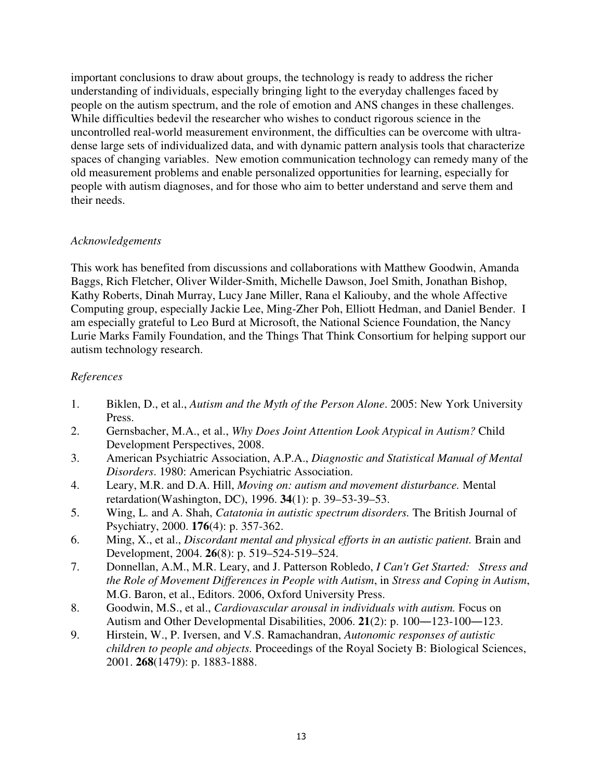important conclusions to draw about groups, the technology is ready to address the richer understanding of individuals, especially bringing light to the everyday challenges faced by people on the autism spectrum, and the role of emotion and ANS changes in these challenges. While difficulties bedevil the researcher who wishes to conduct rigorous science in the uncontrolled real-world measurement environment, the difficulties can be overcome with ultradense large sets of individualized data, and with dynamic pattern analysis tools that characterize spaces of changing variables. New emotion communication technology can remedy many of the old measurement problems and enable personalized opportunities for learning, especially for people with autism diagnoses, and for those who aim to better understand and serve them and their needs.

### *Acknowledgements*

This work has benefited from discussions and collaborations with Matthew Goodwin, Amanda Baggs, Rich Fletcher, Oliver Wilder-Smith, Michelle Dawson, Joel Smith, Jonathan Bishop, Kathy Roberts, Dinah Murray, Lucy Jane Miller, Rana el Kaliouby, and the whole Affective Computing group, especially Jackie Lee, Ming-Zher Poh, Elliott Hedman, and Daniel Bender. I am especially grateful to Leo Burd at Microsoft, the National Science Foundation, the Nancy Lurie Marks Family Foundation, and the Things That Think Consortium for helping support our autism technology research.

# *References*

- 1. Biklen, D., et al., *Autism and the Myth of the Person Alone*. 2005: New York University Press.
- 2. Gernsbacher, M.A., et al., *Why Does Joint Attention Look Atypical in Autism?* Child Development Perspectives, 2008.
- 3. American Psychiatric Association, A.P.A., *Diagnostic and Statistical Manual of Mental Disorders*. 1980: American Psychiatric Association.
- 4. Leary, M.R. and D.A. Hill, *Moving on: autism and movement disturbance.* Mental retardation(Washington, DC), 1996. **34**(1): p. 39–53-39–53.
- 5. Wing, L. and A. Shah, *Catatonia in autistic spectrum disorders.* The British Journal of Psychiatry, 2000. **176**(4): p. 357-362.
- 6. Ming, X., et al., *Discordant mental and physical efforts in an autistic patient.* Brain and Development, 2004. **26**(8): p. 519–524-519–524.
- 7. Donnellan, A.M., M.R. Leary, and J. Patterson Robledo, *I Can't Get Started: Stress and the Role of Movement Differences in People with Autism*, in *Stress and Coping in Autism*, M.G. Baron, et al., Editors. 2006, Oxford University Press.
- 8. Goodwin, M.S., et al., *Cardiovascular arousal in individuals with autism.* Focus on Autism and Other Developmental Disabilities, 2006. **21**(2): p. 100―123-100―123.
- 9. Hirstein, W., P. Iversen, and V.S. Ramachandran, *Autonomic responses of autistic children to people and objects.* Proceedings of the Royal Society B: Biological Sciences, 2001. **268**(1479): p. 1883-1888.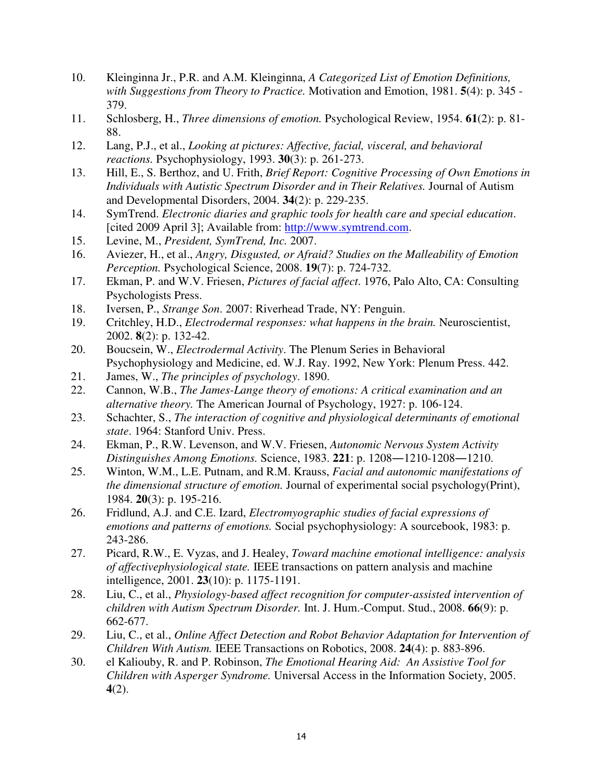- 10. Kleinginna Jr., P.R. and A.M. Kleinginna, *A Categorized List of Emotion Definitions, with Suggestions from Theory to Practice.* Motivation and Emotion, 1981. **5**(4): p. 345 - 379.
- 11. Schlosberg, H., *Three dimensions of emotion.* Psychological Review, 1954. **61**(2): p. 81- 88.
- 12. Lang, P.J., et al., *Looking at pictures: Affective, facial, visceral, and behavioral reactions.* Psychophysiology, 1993. **30**(3): p. 261-273.
- 13. Hill, E., S. Berthoz, and U. Frith, *Brief Report: Cognitive Processing of Own Emotions in Individuals with Autistic Spectrum Disorder and in Their Relatives.* Journal of Autism and Developmental Disorders, 2004. **34**(2): p. 229-235.
- 14. SymTrend. *Electronic diaries and graphic tools for health care and special education*. [cited 2009 April 3]; Available from: http://www.symtrend.com.
- 15. Levine, M., *President, SymTrend, Inc.* 2007.
- 16. Aviezer, H., et al., *Angry, Disgusted, or Afraid? Studies on the Malleability of Emotion Perception.* Psychological Science, 2008. **19**(7): p. 724-732.
- 17. Ekman, P. and W.V. Friesen, *Pictures of facial affect*. 1976, Palo Alto, CA: Consulting Psychologists Press.
- 18. Iversen, P., *Strange Son*. 2007: Riverhead Trade, NY: Penguin.
- 19. Critchley, H.D., *Electrodermal responses: what happens in the brain.* Neuroscientist, 2002. **8**(2): p. 132-42.
- 20. Boucsein, W., *Electrodermal Activity*. The Plenum Series in Behavioral Psychophysiology and Medicine, ed. W.J. Ray. 1992, New York: Plenum Press. 442.
- 21. James, W., *The principles of psychology*. 1890.
- 22. Cannon, W.B., *The James-Lange theory of emotions: A critical examination and an alternative theory.* The American Journal of Psychology, 1927: p. 106-124.
- 23. Schachter, S., *The interaction of cognitive and physiological determinants of emotional state*. 1964: Stanford Univ. Press.
- 24. Ekman, P., R.W. Levenson, and W.V. Friesen, *Autonomic Nervous System Activity Distinguishes Among Emotions.* Science, 1983. **221**: p. 1208―1210-1208―1210.
- 25. Winton, W.M., L.E. Putnam, and R.M. Krauss, *Facial and autonomic manifestations of the dimensional structure of emotion.* Journal of experimental social psychology(Print), 1984. **20**(3): p. 195-216.
- 26. Fridlund, A.J. and C.E. Izard, *Electromyographic studies of facial expressions of emotions and patterns of emotions.* Social psychophysiology: A sourcebook, 1983: p. 243-286.
- 27. Picard, R.W., E. Vyzas, and J. Healey, *Toward machine emotional intelligence: analysis of affectivephysiological state.* IEEE transactions on pattern analysis and machine intelligence, 2001. **23**(10): p. 1175-1191.
- 28. Liu, C., et al., *Physiology-based affect recognition for computer-assisted intervention of children with Autism Spectrum Disorder.* Int. J. Hum.-Comput. Stud., 2008. **66**(9): p. 662-677.
- 29. Liu, C., et al., *Online Affect Detection and Robot Behavior Adaptation for Intervention of Children With Autism.* IEEE Transactions on Robotics, 2008. **24**(4): p. 883-896.
- 30. el Kaliouby, R. and P. Robinson, *The Emotional Hearing Aid: An Assistive Tool for Children with Asperger Syndrome.* Universal Access in the Information Society, 2005. **4**(2).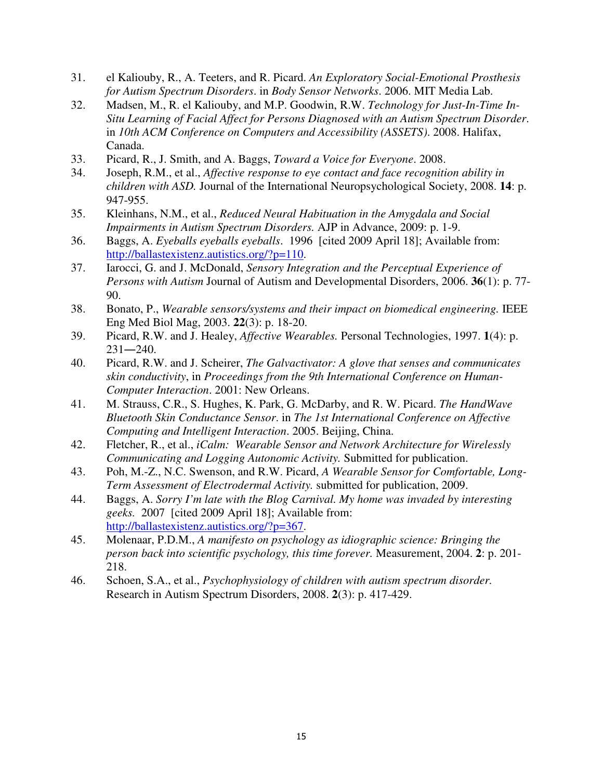- 31. el Kaliouby, R., A. Teeters, and R. Picard. *An Exploratory Social-Emotional Prosthesis for Autism Spectrum Disorders*. in *Body Sensor Networks*. 2006. MIT Media Lab.
- 32. Madsen, M., R. el Kaliouby, and M.P. Goodwin, R.W. *Technology for Just-In-Time In-Situ Learning of Facial Affect for Persons Diagnosed with an Autism Spectrum Disorder*. in *10th ACM Conference on Computers and Accessibility (ASSETS)*. 2008. Halifax, Canada.
- 33. Picard, R., J. Smith, and A. Baggs, *Toward a Voice for Everyone*. 2008.
- 34. Joseph, R.M., et al., *Affective response to eye contact and face recognition ability in children with ASD.* Journal of the International Neuropsychological Society, 2008. **14**: p. 947-955.
- 35. Kleinhans, N.M., et al., *Reduced Neural Habituation in the Amygdala and Social Impairments in Autism Spectrum Disorders.* AJP in Advance, 2009: p. 1-9.
- 36. Baggs, A. *Eyeballs eyeballs eyeballs*. 1996 [cited 2009 April 18]; Available from: http://ballastexistenz.autistics.org/?p=110.
- 37. Iarocci, G. and J. McDonald, *Sensory Integration and the Perceptual Experience of Persons with Autism* Journal of Autism and Developmental Disorders, 2006. **36**(1): p. 77- 90.
- 38. Bonato, P., *Wearable sensors/systems and their impact on biomedical engineering.* IEEE Eng Med Biol Mag, 2003. **22**(3): p. 18-20.
- 39. Picard, R.W. and J. Healey, *Affective Wearables.* Personal Technologies, 1997. **1**(4): p.  $231 - 240$ .
- 40. Picard, R.W. and J. Scheirer, *The Galvactivator: A glove that senses and communicates skin conductivity*, in *Proceedings from the 9th International Conference on Human-Computer Interaction*. 2001: New Orleans.
- 41. M. Strauss, C.R., S. Hughes, K. Park, G. McDarby, and R. W. Picard. *The HandWave Bluetooth Skin Conductance Sensor*. in *The 1st International Conference on Affective Computing and Intelligent Interaction*. 2005. Beijing, China.
- 42. Fletcher, R., et al., *iCalm: Wearable Sensor and Network Architecture for Wirelessly Communicating and Logging Autonomic Activity.* Submitted for publication.
- 43. Poh, M.-Z., N.C. Swenson, and R.W. Picard, *A Wearable Sensor for Comfortable, Long-Term Assessment of Electrodermal Activity.* submitted for publication, 2009.
- 44. Baggs, A. *Sorry I'm late with the Blog Carnival. My home was invaded by interesting geeks.* 2007 [cited 2009 April 18]; Available from: http://ballastexistenz.autistics.org/?p=367.
- 45. Molenaar, P.D.M., *A manifesto on psychology as idiographic science: Bringing the person back into scientific psychology, this time forever.* Measurement, 2004. **2**: p. 201- 218.
- 46. Schoen, S.A., et al., *Psychophysiology of children with autism spectrum disorder.* Research in Autism Spectrum Disorders, 2008. **2**(3): p. 417-429.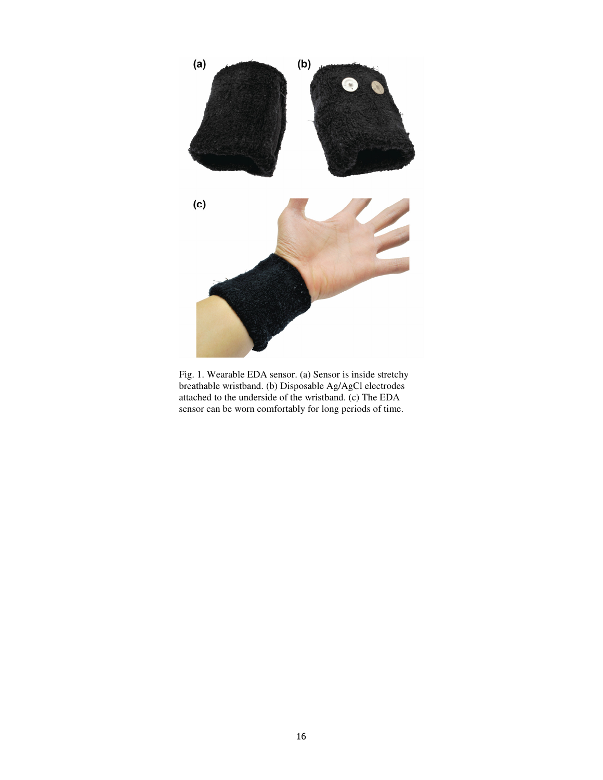

Fig. 1. Wearable EDA sensor. (a) Sensor is inside stretchy breathable wristband. (b) Disposable Ag/AgCl electrodes attached to the underside of the wristband. (c) The EDA sensor can be worn comfortably for long periods of time.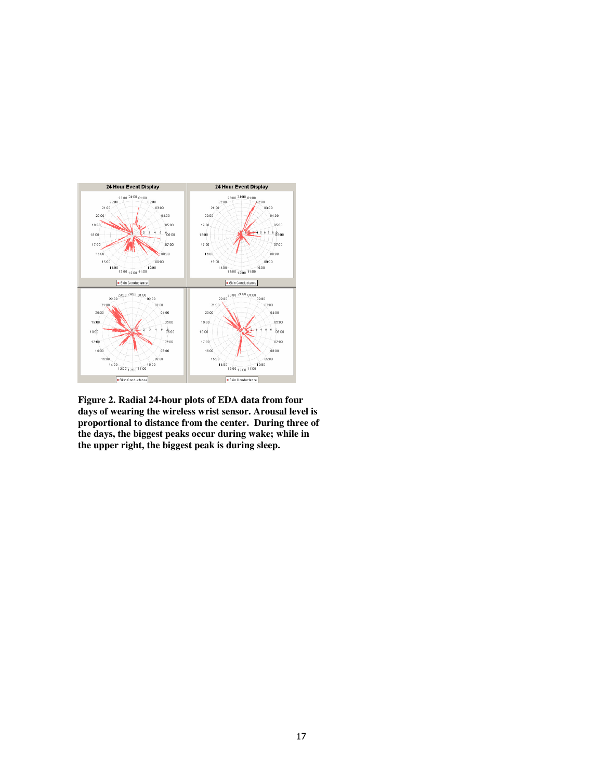

**Figure 2. Radial 24-hour plots of EDA data from four days of wearing the wireless wrist sensor. Arousal level is proportional to distance from the center. During three of the days, the biggest peaks occur during wake; while in the upper right, the biggest peak is during sleep.**